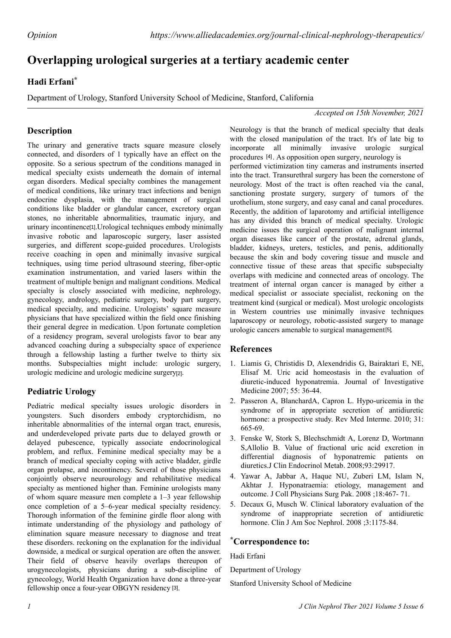# **Overlapping urological surgeries at a tertiary academic center**

### **Hadi Erfani\***

Department of Urology, Stanford University School of Medicine, Stanford, California

*Accepted on 15th November, 2021*

## **Description**

The urinary and generative tracts square measure closely connected, and disorders of 1 typically have an effect on the opposite. So a serious spectrum of the conditions managed in medical specialty exists underneath the domain of internal organ disorders. Medical specialty combines the management of medical conditions, like urinary tract infections and benign endocrine dysplasia, with the management of surgical conditions like bladder or glandular cancer, excretory organ stones, no inheritable abnormalities, traumatic injury, and urinary incontinence<sup>[1]</sup>. Urological techniques embody minimally invasive robotic and laparoscopic surgery, laser assisted surgeries, and different scope-guided procedures. Urologists receive coaching in open and minimally invasive surgical techniques, using time period ultrasound steering, fiber-optic examination instrumentation, and varied lasers within the treatment of multiple benign and malignant conditions. Medical specialty is closely associated with medicine, nephrology, gynecology, andrology, pediatric surgery, body part surgery, medical specialty, and medicine. Urologists' square measure physicians that have specialized within the field once finishing their general degree in medication. Upon fortunate completion of a residency program, several urologists favor to bear any advanced coaching during a subspecialty space of experience through a fellowship lasting a further twelve to thirty six months. Subspecialties might include: urologic surgery, urologic medicine and urologic medicine surgery<sup>[2]</sup>.

### **Pediatric Urology**

Pediatric medical specialty issues urologic disorders in youngsters. Such disorders embody cryptorchidism, no inheritable abnormalities of the internal organ tract, enuresis, and underdeveloped private parts due to delayed growth or delayed pubescence, typically associate endocrinological problem, and reflux. Feminine medical specialty may be a branch of medical specialty coping with active bladder, girdle organ prolapse, and incontinency. Several of those physicians conjointly observe neurourology and rehabilitative medical specialty as mentioned higher than. Feminine urologists many of whom square measure men complete a 1–3 year fellowship once completion of a 5–6-year medical specialty residency. Thorough information of the feminine girdle floor along with intimate understanding of the physiology and pathology of elimination square measure necessary to diagnose and treat these disorders. reckoning on the explanation for the individual downside, a medical or surgical operation are often the answer. Their field of observe heavily overlaps thereupon of urogynecologists, physicians during a sub-discipline of gynecology, World Health Organization have done a three-year fellowship once a four-year OBGYN residency [3].

Neurology is that the branch of medical specialty that deals with the closed manipulation of the tract. It's of late big to incorporate all minimally invasive urologic surgical procedures [4]. As opposition open surgery, neurology is performed victimization tiny cameras and instruments inserted into the tract. Transurethral surgery has been the cornerstone of neurology. Most of the tract is often reached via the canal, sanctioning prostate surgery, surgery of tumors of the urothelium, stone surgery, and easy canal and canal procedures. Recently, the addition of laparotomy and artificial intelligence has any divided this branch of medical specialty. Urologic medicine issues the surgical operation of malignant internal organ diseases like cancer of the prostate, adrenal glands, bladder, kidneys, ureters, testicles, and penis, additionally because the skin and body covering tissue and muscle and connective tissue of these areas that specific subspecialty overlaps with medicine and connected areas of oncology. The treatment of internal organ cancer is managed by either a medical specialist or associate specialist, reckoning on the treatment kind (surgical or medical). Most urologic oncologists in Western countries use minimally invasive techniques laparoscopy or neurology, robotic-assisted surgery to manage urologic cancers amenable to surgical management<sup>[5]</sup>.

#### **References**

- 1. Liamis G, Christidis D, Alexendridis G, Bairaktari E, NE, Elisaf M. [Uric acid homeostasis in the evaluation of](https://jim.bmj.com/content/55/1/36) [diuretic-induced hyponatremia.](https://jim.bmj.com/content/55/1/36) Journal of Investigative Medicine 2007; 55: 36-44.
- 2. Passeron A, BlanchardA, Capron L. [Hypo-uricemia in the](https://www.nejm.org/doi/full/10.1056/NEJM197909063011005) [syndrome of in appropriate secretion of antidiuretic](https://www.nejm.org/doi/full/10.1056/NEJM197909063011005) [hormone](https://www.nejm.org/doi/full/10.1056/NEJM197909063011005): a prospective study. Rev Med Interme. 2010; 31: 665-69.
- 3. Fenske W, Stork S, Blechschmidt A, Lorenz D, Wortmann S,Allolio B. [Value of fractional uric acid excretion in](https://academic.oup.com/jcem/article/93/8/2991/2598458) [differential diagnosis of hyponatremic patients on](https://academic.oup.com/jcem/article/93/8/2991/2598458) [diuretics](https://academic.oup.com/jcem/article/93/8/2991/2598458).J Clin Endocrinol Metab. 2008;93:29917.
- 4. Yawar A, Jabbar A, Haque NU, Zuberi LM, Islam N, Akhtar J. Hyponatraemia: [etiology, management and](https://www.acpjournals.org/doi/10.7326/0003-4819-151-3-200908040-00004) [outcome](https://www.acpjournals.org/doi/10.7326/0003-4819-151-3-200908040-00004). J Coll Physicians Surg Pak. 2008 ;18:467- 71.
- 5. Decaux G, Musch W. [Clinical laboratory evaluation of the](https://cjasn.asnjournals.org/content/3/4/1175) [syndrome of inappropriate secretion of antidiuretic](https://cjasn.asnjournals.org/content/3/4/1175) [hormone](https://cjasn.asnjournals.org/content/3/4/1175). Clin J Am Soc Nephrol. 2008 ;3:1175-84.

#### **\*Correspondence to:**

Hadi Erfani

Department of Urology

Stanford University School of Medicine